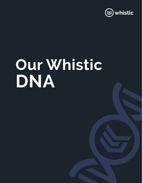

# **Our Whistic DNA**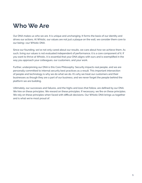## **Who We Are**

Our DNA makes us who we are. It is unique and unchanging. It forms the basis of our identity and drives our actions. At Whistic, our values are not just a plaque on the wall, we consider them core to our being—our Whistic DNA.

Since our founding, we've not only cared about our results, we care about how we achieve them. As such, living our values is not evaluated independent of performance, it is a core component of it. If you want to thrive at Whistic, it is essential that your DNA aligns with ours and is exemplified in the way you approach your colleagues, our customers, and your work.

Further, underpinning our DNA is this Core Philosophy: Security impacts real people, and we are personally committed to internal security best practices as a result. This important intersection of people and technology is why we do what we do. It's why we treat our customers and their businesses as though they are a part of our business, and we never forget the people behind the platform we are building.

Ultimately, our successes and failures, and the highs and lows that follow, are defined by our DNA. We hire on these principles. We reward on these principles. If necessary, we fire on these principles. We rely on these principles when faced with difficult decisions. Our Whistic DNA brings us together and is what we're most proud of.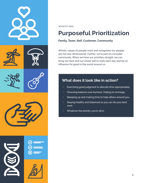

# **Purposeful Prioritization**

#### **Family, Team, Self, Customer, Community**

Whistic values its people most and recognizes our people are not one-dimensional. Further, we're part of a broader community. When we have our priorities straight, we can bring our best and our whole self to work each day and be an influence for good in the world around us.

- Exercising good judgment to allocate time appropriately.
- Choosing balance over burnout. Unplug to recharge.
- Stepping up and making time to help others around you.
- Staying healthy and balanced so you can do your best work.
- Whatever the priority, you're all in.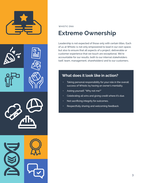







# **Extreme Ownership**

Leadership is not expected of those only with certain titles. Each of us at Whistic is not only empowered to lead in our own space, but also to ensure that all aspects of a project, deliverable or customer experience that we touch are exceptional. We're accountable for our results, both to our internal stakeholders (self, team, management, shareholders) and to our customers.

- Taking personal responsibility for your role in the overall success of Whistic by having an owner's mentality.
- Asking yourself, "Why not me?"
- Celebrating all wins and giving credit where it's due.
- Not sacrificing integrity for outcomes.
- Respectfully sharing and welcoming feedback.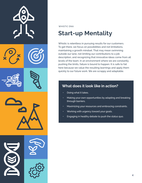

# **Start-up Mentality**

Whistic is relentless in pursuing results for our customers. To get there, we focus on possibilities and not limitations, maintaining a growth mindset. That may mean swimming outside our lane, not limiting our contributions to a job description, and recognizing that innovative ideas come from all levels of the team. In an environment where we are constantly pushing the limits, failure is bound to happen. It is safe to fail here because we value the resulting learnings and apply them quickly to our future work. We are scrappy and adaptable.

- Doing what it takes.
- Making your own opportunities by adapting and breaking through barriers.
- Maximizing your resources and embracing constraints.
- Working with urgency toward your goals.
- Engaging in healthy debate to push the status quo.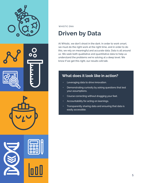

# **Driven by Data**

At Whistic, we don't shoot in the dark. In order to work smart, we must do the right work at the right time, and in order to do this, we rely on meaningful and accurate data. Data is all around us. We seek both qualitative and quantitative data to help us understand the problems we're solving at a deep level. We know if we get this right, our results will talk.

- Leveraging data to drive innovation.
- Demonstrating curiosity by asking questions that test your assumptions.
- Course correcting without dragging your feet.
- Accountability for acting on learnings.
- Transparently sharing data and ensuring that data is easily accessible.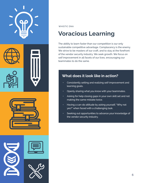

# **Voracious Learning**

The ability to learn faster than our competition is our only sustainable competitive advantage. Complacency is the enemy. We strive to be masters of our craft, and to stay at the forefront of the vendor security industry. We seek growth. We focus on self improvement in all facets of our lives, encouraging our teammates to do the same.

- Consistently setting and realizing self-improvement and learning goals.
- Openly sharing what you know with your teammates.
- Asking for help closing gaps in your own skill set and not making the same mistake twice.
- Having a can-do attitude by asking yourself, "Why not yes?" when faced with a challenging task.
- Seeking out opportunities to advance your knowledge of the vendor security industry.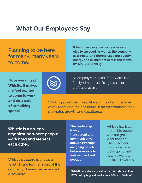## **What Our Employees Say**

Planning to be here for many, many years to come.

**It feels like everyone wants everyone else to succeed, as well as the company as a whole, and there's just a fun bubbly energy and excitement across the teams. It's really refreshing!**

**I love working at Whistic. It makes me feel excited to come to work and be a part of something special.**



A company with heart, feels warm like family without sacrificing results or professionalism.

Working at Whistic, I feel like an important member of my team and the company, in an environment that promotes growth and excellence.

**Whistic is a no-ego organization where people work hard and respect each other.**

Whistic's culture is shows a level of care for members of the company I haven't experienced elsewhere.

**The leadership is very transparent and communicative about how things are going, which helps everyone to feel involved and needed.**

Whistic has it all Incredible people who are great at what they do? Check. A clear vision of where we're going and how we want to achieve it? Check.

**Whistic also has a great work life balance. The PTO policy is great and so are Whistic Fridays!**